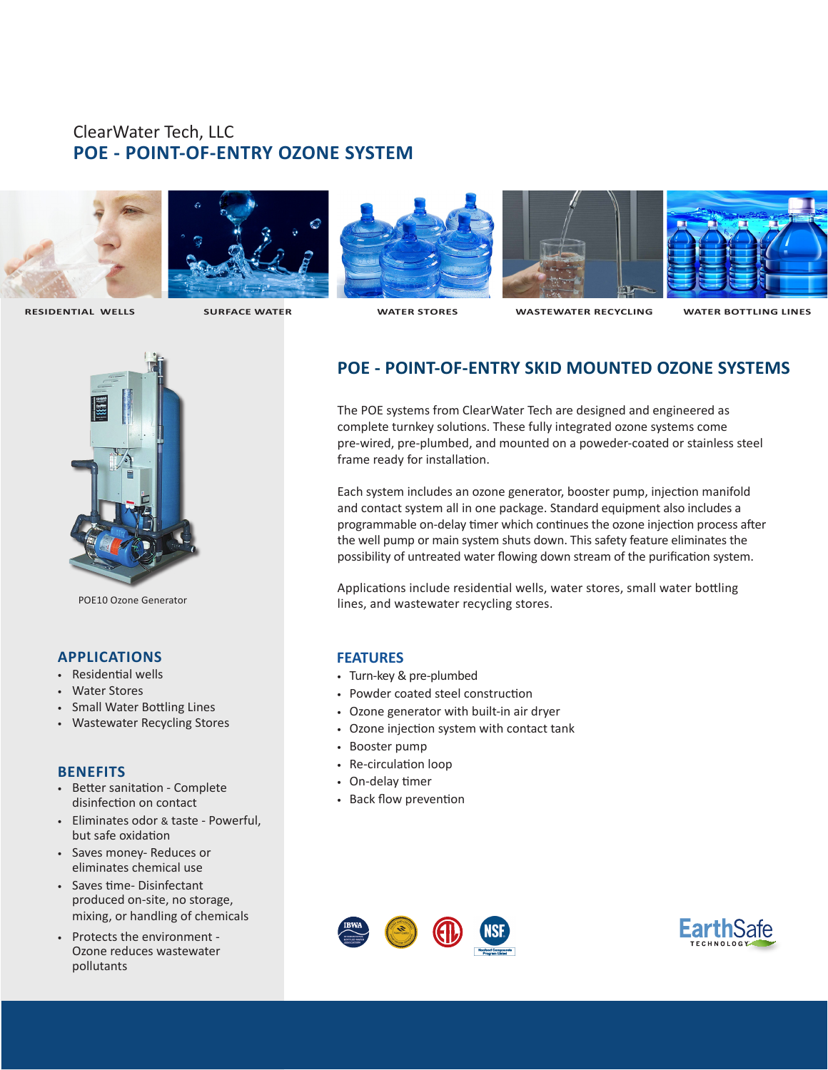# ClearWater Tech, LLC **POE - POINT-OF-ENTRY OZONE SYSTEM**









 **RESIDENTIAL WELLS SURFACE WATER WATER STORES WASTEWATER RECYCLING WATER BOTTLING LINES**



POE10 Ozone Generator

## **APPLICATIONS**

- Residential wells
- Water Stores
- Small Water Bottling Lines
- Wastewater Recycling Stores

### **BENEFITS**

- Better sanitation Complete disinfection on contact
- Eliminates odor & taste Powerful, but safe oxidation
- Saves money- Reduces or eliminates chemical use
- Saves time- Disinfectant produced on-site, no storage, mixing, or handling of chemicals
- Protects the environment Ozone reduces wastewater pollutants

## **POE - POINT-OF-ENTRY SKID MOUNTED OZONE SYSTEMS**

The POE systems from ClearWater Tech are designed and engineered as complete turnkey solutions. These fully integrated ozone systems come pre-wired, pre-plumbed, and mounted on a poweder-coated or stainless steel frame ready for installation.

Each system includes an ozone generator, booster pump, injection manifold and contact system all in one package. Standard equipment also includes a programmable on-delay timer which continues the ozone injection process after the well pump or main system shuts down. This safety feature eliminates the possibility of untreated water flowing down stream of the purification system.

Applications include residential wells, water stores, small water bottling lines, and wastewater recycling stores.

### **FEATURES**

- Turn-key & pre-plumbed
- Powder coated steel construction
- Ozone generator with built-in air dryer
- Ozone injection system with contact tank
- Booster pump
- Re-circulation loop
- On-delay timer
- Back flow prevention